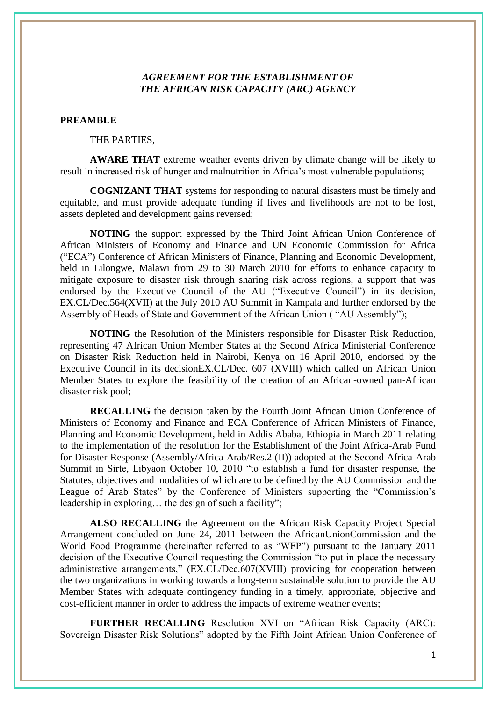# *AGREEMENT FOR THE ESTABLISHMENT OF THE AFRICAN RISK CAPACITY (ARC) AGENCY*

#### **PREAMBLE**

THE PARTIES,

**AWARE THAT** extreme weather events driven by climate change will be likely to result in increased risk of hunger and malnutrition in Africa"s most vulnerable populations;

**COGNIZANT THAT** systems for responding to natural disasters must be timely and equitable, and must provide adequate funding if lives and livelihoods are not to be lost, assets depleted and development gains reversed;

**NOTING** the support expressed by the Third Joint African Union Conference of African Ministers of Economy and Finance and UN Economic Commission for Africa ("ECA") Conference of African Ministers of Finance, Planning and Economic Development, held in Lilongwe, Malawi from 29 to 30 March 2010 for efforts to enhance capacity to mitigate exposure to disaster risk through sharing risk across regions, a support that was endorsed by the Executive Council of the AU ("Executive Council") in its decision, EX.CL/Dec.564(XVII) at the July 2010 AU Summit in Kampala and further endorsed by the Assembly of Heads of State and Government of the African Union ( "AU Assembly");

**NOTING** the Resolution of the Ministers responsible for Disaster Risk Reduction, representing 47 African Union Member States at the Second Africa Ministerial Conference on Disaster Risk Reduction held in Nairobi, Kenya on 16 April 2010, endorsed by the Executive Council in its decisionEX.CL/Dec. 607 (XVIII) which called on African Union Member States to explore the feasibility of the creation of an African-owned pan-African disaster risk pool;

**RECALLING** the decision taken by the Fourth Joint African Union Conference of Ministers of Economy and Finance and ECA Conference of African Ministers of Finance, Planning and Economic Development, held in Addis Ababa, Ethiopia in March 2011 relating to the implementation of the resolution for the Establishment of the Joint Africa-Arab Fund for Disaster Response (Assembly/Africa-Arab/Res.2 (II)) adopted at the Second Africa-Arab Summit in Sirte, Libyaon October 10, 2010 "to establish a fund for disaster response, the Statutes, objectives and modalities of which are to be defined by the AU Commission and the League of Arab States" by the Conference of Ministers supporting the "Commission's leadership in exploring… the design of such a facility";

**ALSO RECALLING** the Agreement on the African Risk Capacity Project Special Arrangement concluded on June 24, 2011 between the AfricanUnionCommission and the World Food Programme (hereinafter referred to as "WFP") pursuant to the January 2011 decision of the Executive Council requesting the Commission "to put in place the necessary administrative arrangements," (EX.CL/Dec.607(XVIII) providing for cooperation between the two organizations in working towards a long-term sustainable solution to provide the AU Member States with adequate contingency funding in a timely, appropriate, objective and cost-efficient manner in order to address the impacts of extreme weather events;

**FURTHER RECALLING** Resolution XVI on "African Risk Capacity (ARC): Sovereign Disaster Risk Solutions" adopted by the Fifth Joint African Union Conference of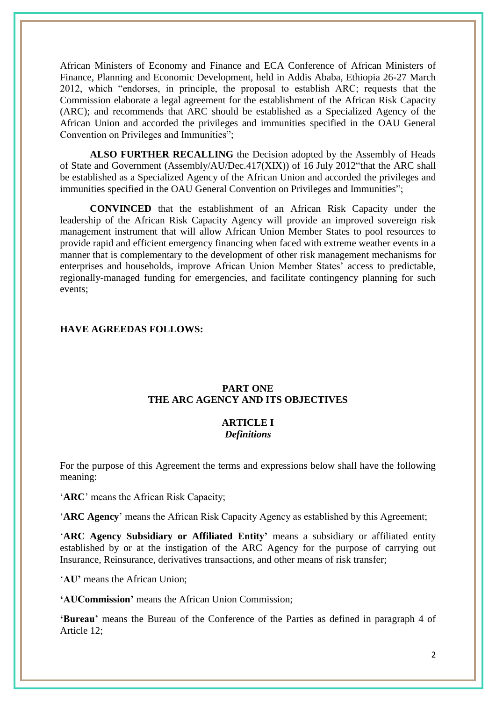African Ministers of Economy and Finance and ECA Conference of African Ministers of Finance, Planning and Economic Development, held in Addis Ababa, Ethiopia 26-27 March 2012, which "endorses, in principle, the proposal to establish ARC; requests that the Commission elaborate a legal agreement for the establishment of the African Risk Capacity (ARC); and recommends that ARC should be established as a Specialized Agency of the African Union and accorded the privileges and immunities specified in the OAU General Convention on Privileges and Immunities";

**ALSO FURTHER RECALLING** the Decision adopted by the Assembly of Heads of State and Government (Assembly/AU/Dec.417(XIX)) of 16 July 2012"that the ARC shall be established as a Specialized Agency of the African Union and accorded the privileges and immunities specified in the OAU General Convention on Privileges and Immunities";

**CONVINCED** that the establishment of an African Risk Capacity under the leadership of the African Risk Capacity Agency will provide an improved sovereign risk management instrument that will allow African Union Member States to pool resources to provide rapid and efficient emergency financing when faced with extreme weather events in a manner that is complementary to the development of other risk management mechanisms for enterprises and households, improve African Union Member States' access to predictable, regionally-managed funding for emergencies, and facilitate contingency planning for such events;

## **HAVE AGREEDAS FOLLOWS:**

#### **PART ONE THE ARC AGENCY AND ITS OBJECTIVES**

#### **ARTICLE I** *Definitions*

For the purpose of this Agreement the terms and expressions below shall have the following meaning:

"**ARC**" means the African Risk Capacity;

"**ARC Agency**" means the African Risk Capacity Agency as established by this Agreement;

"**ARC Agency Subsidiary or Affiliated Entity'** means a subsidiary or affiliated entity established by or at the instigation of the ARC Agency for the purpose of carrying out Insurance, Reinsurance, derivatives transactions, and other means of risk transfer;

"**AU'** means the African Union;

**'AUCommission'** means the African Union Commission;

**'Bureau'** means the Bureau of the Conference of the Parties as defined in paragraph 4 of Article 12;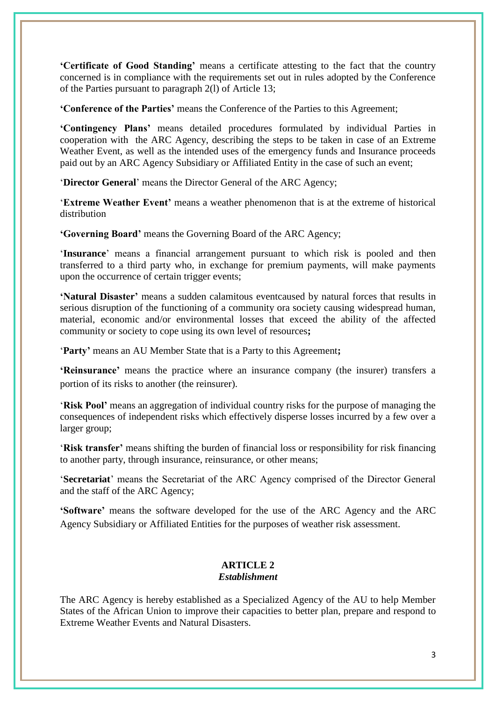**'Certificate of Good Standing'** means a certificate attesting to the fact that the country concerned is in compliance with the requirements set out in rules adopted by the Conference of the Parties pursuant to paragraph 2(l) of Article 13;

**'Conference of the Parties'** means the Conference of the Parties to this Agreement;

**'Contingency Plans'** means detailed procedures formulated by individual Parties in cooperation with the ARC Agency, describing the steps to be taken in case of an Extreme Weather Event, as well as the intended uses of the emergency funds and Insurance proceeds paid out by an ARC Agency Subsidiary or Affiliated Entity in the case of such an event;

"**Director General**" means the Director General of the ARC Agency;

"**Extreme Weather Event'** means a weather phenomenon that is at the extreme of historical distribution

**'Governing Board'** means the Governing Board of the ARC Agency;

"**Insurance**" means a financial arrangement pursuant to which risk is pooled and then transferred to a third party who, in exchange for premium payments, will make payments upon the occurrence of certain trigger events;

**'Natural Disaster'** means a sudden calamitous eventcaused by natural forces that results in serious disruption of the functioning of a community ora society causing widespread human, material, economic and/or environmental losses that exceed the ability of the affected community or society to cope using its own level of resources**;**

"**Party'** means an AU Member State that is a Party to this Agreement**;**

**'Reinsurance'** means the practice where an insurance company (the insurer) transfers a portion of its risks to another (the reinsurer).

"**Risk Pool'** means an aggregation of individual country risks for the purpose of managing the consequences of independent risks which effectively disperse losses incurred by a few over a larger group;

"**Risk transfer'** means shifting the burden of financial loss or responsibility for risk financing to another party, through insurance, reinsurance, or other means;

"**Secretariat**" means the Secretariat of the ARC Agency comprised of the Director General and the staff of the ARC Agency;

**'Software'** means the software developed for the use of the ARC Agency and the ARC Agency Subsidiary or Affiliated Entities for the purposes of weather risk assessment.

#### **ARTICLE 2** *Establishment*

The ARC Agency is hereby established as a Specialized Agency of the AU to help Member States of the African Union to improve their capacities to better plan, prepare and respond to Extreme Weather Events and Natural Disasters.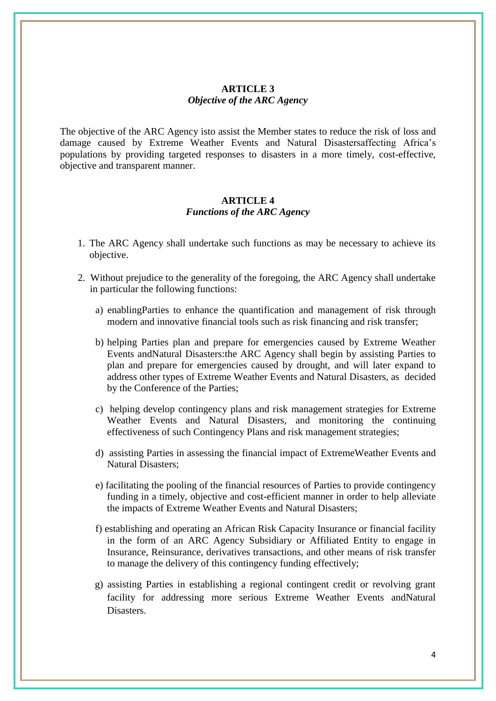# **ARTICLE 3** *Objective of the ARC Agency*

The objective of the ARC Agency isto assist the Member states to reduce the risk of loss and damage caused by Extreme Weather Events and Natural Disastersaffecting Africa"s populations by providing targeted responses to disasters in a more timely, cost-effective, objective and transparent manner.

#### **ARTICLE 4** *Functions of the ARC Agency*

- 1. The ARC Agency shall undertake such functions as may be necessary to achieve its objective.
- 2. Without prejudice to the generality of the foregoing, the ARC Agency shall undertake in particular the following functions:
	- a) enablingParties to enhance the quantification and management of risk through modern and innovative financial tools such as risk financing and risk transfer;
	- b) helping Parties plan and prepare for emergencies caused by Extreme Weather Events andNatural Disasters:the ARC Agency shall begin by assisting Parties to plan and prepare for emergencies caused by drought, and will later expand to address other types of Extreme Weather Events and Natural Disasters, as decided by the Conference of the Parties;
	- c) helping develop contingency plans and risk management strategies for Extreme Weather Events and Natural Disasters, and monitoring the continuing effectiveness of such Contingency Plans and risk management strategies;
	- d) assisting Parties in assessing the financial impact of ExtremeWeather Events and Natural Disasters;
	- e) facilitating the pooling of the financial resources of Parties to provide contingency funding in a timely, objective and cost-efficient manner in order to help alleviate the impacts of Extreme Weather Events and Natural Disasters;
	- f) establishing and operating an African Risk Capacity Insurance or financial facility in the form of an ARC Agency Subsidiary or Affiliated Entity to engage in Insurance, Reinsurance, derivatives transactions, and other means of risk transfer to manage the delivery of this contingency funding effectively;
	- g) assisting Parties in establishing a regional contingent credit or revolving grant facility for addressing more serious Extreme Weather Events andNatural Disasters.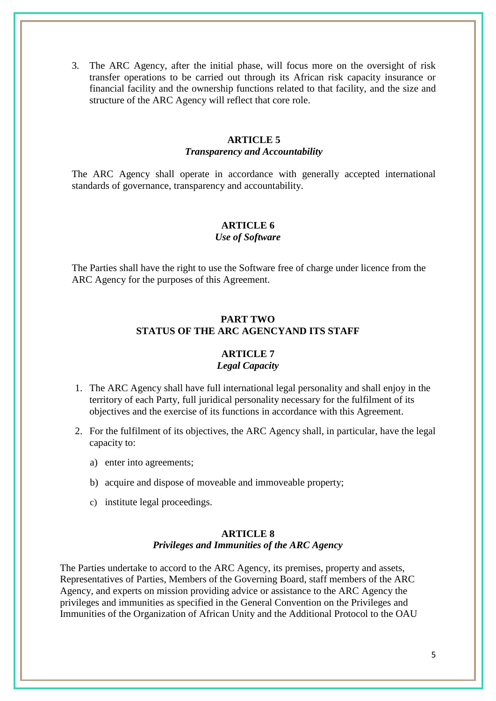3. The ARC Agency, after the initial phase, will focus more on the oversight of risk transfer operations to be carried out through its African risk capacity insurance or financial facility and the ownership functions related to that facility, and the size and structure of the ARC Agency will reflect that core role.

#### **ARTICLE 5** *Transparency and Accountability*

The ARC Agency shall operate in accordance with generally accepted international standards of governance, transparency and accountability.

# **ARTICLE 6**

# *Use of Software*

The Parties shall have the right to use the Software free of charge under licence from the ARC Agency for the purposes of this Agreement.

# **PART TWO STATUS OF THE ARC AGENCYAND ITS STAFF**

# **ARTICLE 7**

# *Legal Capacity*

- 1. The ARC Agency shall have full international legal personality and shall enjoy in the territory of each Party, full juridical personality necessary for the fulfilment of its objectives and the exercise of its functions in accordance with this Agreement.
- 2. For the fulfilment of its objectives, the ARC Agency shall, in particular, have the legal capacity to:
	- a) enter into agreements;
	- b) acquire and dispose of moveable and immoveable property;
	- c) institute legal proceedings.

# **ARTICLE 8**

# *Privileges and Immunities of the ARC Agency*

The Parties undertake to accord to the ARC Agency, its premises, property and assets, Representatives of Parties, Members of the Governing Board, staff members of the ARC Agency, and experts on mission providing advice or assistance to the ARC Agency the privileges and immunities as specified in the General Convention on the Privileges and Immunities of the Organization of African Unity and the Additional Protocol to the OAU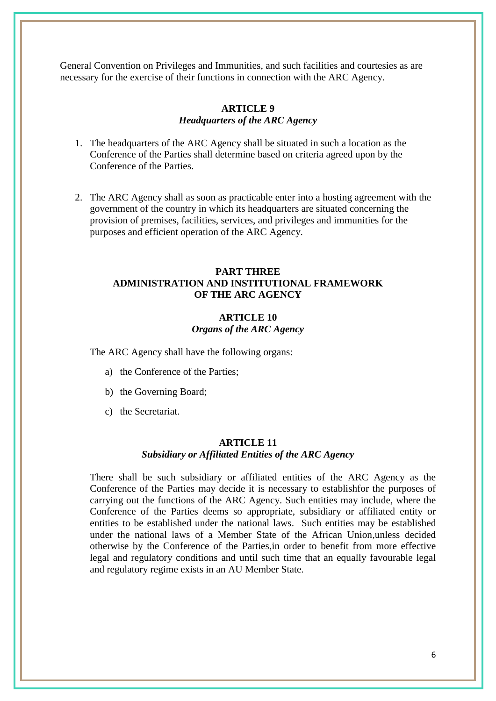General Convention on Privileges and Immunities, and such facilities and courtesies as are necessary for the exercise of their functions in connection with the ARC Agency.

### **ARTICLE 9** *Headquarters of the ARC Agency*

- 1. The headquarters of the ARC Agency shall be situated in such a location as the Conference of the Parties shall determine based on criteria agreed upon by the Conference of the Parties.
- 2. The ARC Agency shall as soon as practicable enter into a hosting agreement with the government of the country in which its headquarters are situated concerning the provision of premises, facilities, services, and privileges and immunities for the purposes and efficient operation of the ARC Agency.

# **PART THREE ADMINISTRATION AND INSTITUTIONAL FRAMEWORK OF THE ARC AGENCY**

# **ARTICLE 10** *Organs of the ARC Agency*

The ARC Agency shall have the following organs:

- a) the Conference of the Parties;
- b) the Governing Board;
- c) the Secretariat.

#### **ARTICLE 11** *Subsidiary or Affiliated Entities of the ARC Agency*

There shall be such subsidiary or affiliated entities of the ARC Agency as the Conference of the Parties may decide it is necessary to establishfor the purposes of carrying out the functions of the ARC Agency. Such entities may include, where the Conference of the Parties deems so appropriate, subsidiary or affiliated entity or entities to be established under the national laws. Such entities may be established under the national laws of a Member State of the African Union,unless decided otherwise by the Conference of the Parties,in order to benefit from more effective legal and regulatory conditions and until such time that an equally favourable legal and regulatory regime exists in an AU Member State.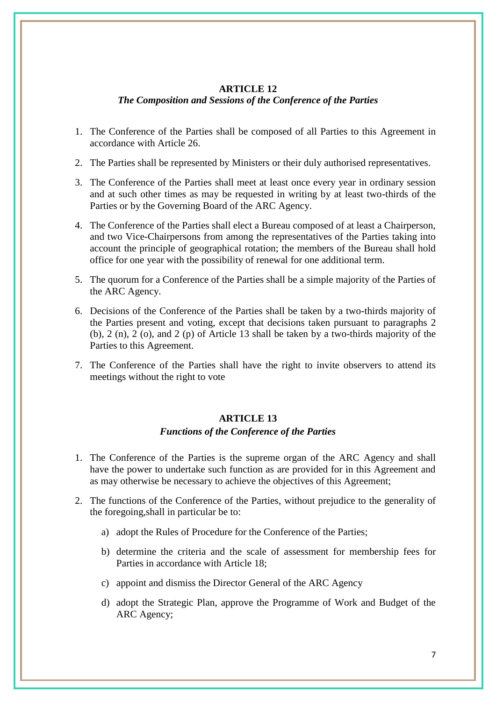#### **ARTICLE 12**

#### *The Composition and Sessions of the Conference of the Parties*

- 1. The Conference of the Parties shall be composed of all Parties to this Agreement in accordance with Article 26.
- 2. The Parties shall be represented by Ministers or their duly authorised representatives.
- 3. The Conference of the Parties shall meet at least once every year in ordinary session and at such other times as may be requested in writing by at least two-thirds of the Parties or by the Governing Board of the ARC Agency.
- 4. The Conference of the Parties shall elect a Bureau composed of at least a Chairperson, and two Vice-Chairpersons from among the representatives of the Parties taking into account the principle of geographical rotation; the members of the Bureau shall hold office for one year with the possibility of renewal for one additional term.
- 5. The quorum for a Conference of the Parties shall be a simple majority of the Parties of the ARC Agency.
- 6. Decisions of the Conference of the Parties shall be taken by a two-thirds majority of the Parties present and voting, except that decisions taken pursuant to paragraphs 2 (b), 2 (n), 2 (o), and 2 (p) of Article 13 shall be taken by a two-thirds majority of the Parties to this Agreement.
- 7. The Conference of the Parties shall have the right to invite observers to attend its meetings without the right to vote

#### **ARTICLE 13**

#### *Functions of the Conference of the Parties*

- 1. The Conference of the Parties is the supreme organ of the ARC Agency and shall have the power to undertake such function as are provided for in this Agreement and as may otherwise be necessary to achieve the objectives of this Agreement;
- 2. The functions of the Conference of the Parties, without prejudice to the generality of the foregoing,shall in particular be to:
	- a) adopt the Rules of Procedure for the Conference of the Parties;
	- b) determine the criteria and the scale of assessment for membership fees for Parties in accordance with Article 18;
	- c) appoint and dismiss the Director General of the ARC Agency
	- d) adopt the Strategic Plan, approve the Programme of Work and Budget of the ARC Agency;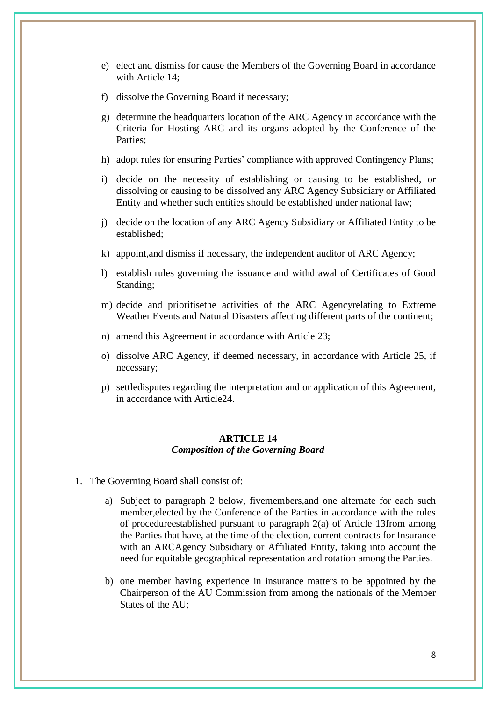- e) elect and dismiss for cause the Members of the Governing Board in accordance with Article 14;
- f) dissolve the Governing Board if necessary;
- g) determine the headquarters location of the ARC Agency in accordance with the Criteria for Hosting ARC and its organs adopted by the Conference of the Parties;
- h) adopt rules for ensuring Parties' compliance with approved Contingency Plans;
- i) decide on the necessity of establishing or causing to be established, or dissolving or causing to be dissolved any ARC Agency Subsidiary or Affiliated Entity and whether such entities should be established under national law;
- j) decide on the location of any ARC Agency Subsidiary or Affiliated Entity to be established;
- k) appoint,and dismiss if necessary, the independent auditor of ARC Agency;
- l) establish rules governing the issuance and withdrawal of Certificates of Good Standing;
- m) decide and prioritisethe activities of the ARC Agencyrelating to Extreme Weather Events and Natural Disasters affecting different parts of the continent;
- n) amend this Agreement in accordance with Article 23;
- o) dissolve ARC Agency, if deemed necessary, in accordance with Article 25, if necessary;
- p) settledisputes regarding the interpretation and or application of this Agreement, in accordance with Article24.

#### **ARTICLE 14** *Composition of the Governing Board*

- 1. The Governing Board shall consist of:
	- a) Subject to paragraph 2 below, fivemembers,and one alternate for each such member,elected by the Conference of the Parties in accordance with the rules of procedureestablished pursuant to paragraph 2(a) of Article 13from among the Parties that have, at the time of the election, current contracts for Insurance with an ARCAgency Subsidiary or Affiliated Entity, taking into account the need for equitable geographical representation and rotation among the Parties.
	- b) one member having experience in insurance matters to be appointed by the Chairperson of the AU Commission from among the nationals of the Member States of the AU;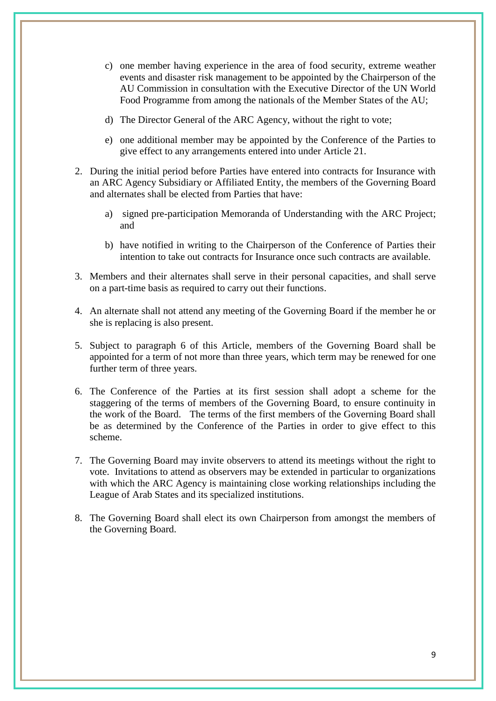- c) one member having experience in the area of food security, extreme weather events and disaster risk management to be appointed by the Chairperson of the AU Commission in consultation with the Executive Director of the UN World Food Programme from among the nationals of the Member States of the AU;
- d) The Director General of the ARC Agency, without the right to vote;
- e) one additional member may be appointed by the Conference of the Parties to give effect to any arrangements entered into under Article 21.
- 2. During the initial period before Parties have entered into contracts for Insurance with an ARC Agency Subsidiary or Affiliated Entity, the members of the Governing Board and alternates shall be elected from Parties that have:
	- a) signed pre-participation Memoranda of Understanding with the ARC Project; and
	- b) have notified in writing to the Chairperson of the Conference of Parties their intention to take out contracts for Insurance once such contracts are available.
- 3. Members and their alternates shall serve in their personal capacities, and shall serve on a part-time basis as required to carry out their functions.
- 4. An alternate shall not attend any meeting of the Governing Board if the member he or she is replacing is also present.
- 5. Subject to paragraph 6 of this Article, members of the Governing Board shall be appointed for a term of not more than three years, which term may be renewed for one further term of three years.
- 6. The Conference of the Parties at its first session shall adopt a scheme for the staggering of the terms of members of the Governing Board, to ensure continuity in the work of the Board. The terms of the first members of the Governing Board shall be as determined by the Conference of the Parties in order to give effect to this scheme.
- 7. The Governing Board may invite observers to attend its meetings without the right to vote. Invitations to attend as observers may be extended in particular to organizations with which the ARC Agency is maintaining close working relationships including the League of Arab States and its specialized institutions.
- 8. The Governing Board shall elect its own Chairperson from amongst the members of the Governing Board.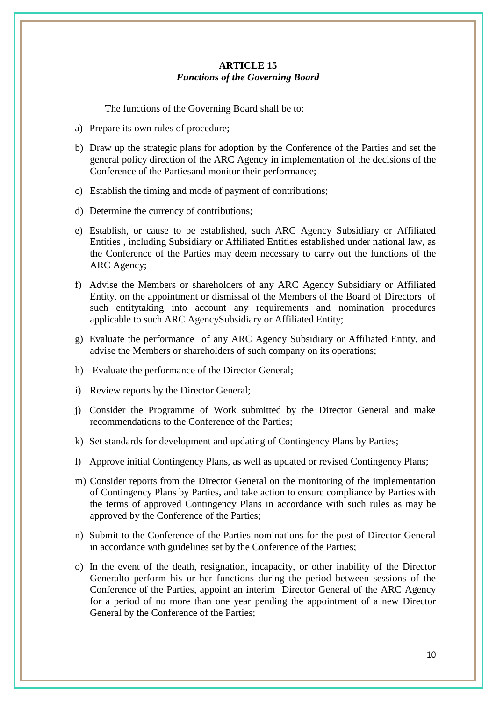### **ARTICLE 15** *Functions of the Governing Board*

The functions of the Governing Board shall be to:

- a) Prepare its own rules of procedure;
- b) Draw up the strategic plans for adoption by the Conference of the Parties and set the general policy direction of the ARC Agency in implementation of the decisions of the Conference of the Partiesand monitor their performance;
- c) Establish the timing and mode of payment of contributions;
- d) Determine the currency of contributions;
- e) Establish, or cause to be established, such ARC Agency Subsidiary or Affiliated Entities , including Subsidiary or Affiliated Entities established under national law, as the Conference of the Parties may deem necessary to carry out the functions of the ARC Agency;
- f) Advise the Members or shareholders of any ARC Agency Subsidiary or Affiliated Entity, on the appointment or dismissal of the Members of the Board of Directors of such entitytaking into account any requirements and nomination procedures applicable to such ARC AgencySubsidiary or Affiliated Entity;
- g) Evaluate the performance of any ARC Agency Subsidiary or Affiliated Entity, and advise the Members or shareholders of such company on its operations;
- h) Evaluate the performance of the Director General;
- i) Review reports by the Director General;
- j) Consider the Programme of Work submitted by the Director General and make recommendations to the Conference of the Parties;
- k) Set standards for development and updating of Contingency Plans by Parties;
- l) Approve initial Contingency Plans, as well as updated or revised Contingency Plans;
- m) Consider reports from the Director General on the monitoring of the implementation of Contingency Plans by Parties, and take action to ensure compliance by Parties with the terms of approved Contingency Plans in accordance with such rules as may be approved by the Conference of the Parties;
- n) Submit to the Conference of the Parties nominations for the post of Director General in accordance with guidelines set by the Conference of the Parties;
- o) In the event of the death, resignation, incapacity, or other inability of the Director Generalto perform his or her functions during the period between sessions of the Conference of the Parties, appoint an interim Director General of the ARC Agency for a period of no more than one year pending the appointment of a new Director General by the Conference of the Parties;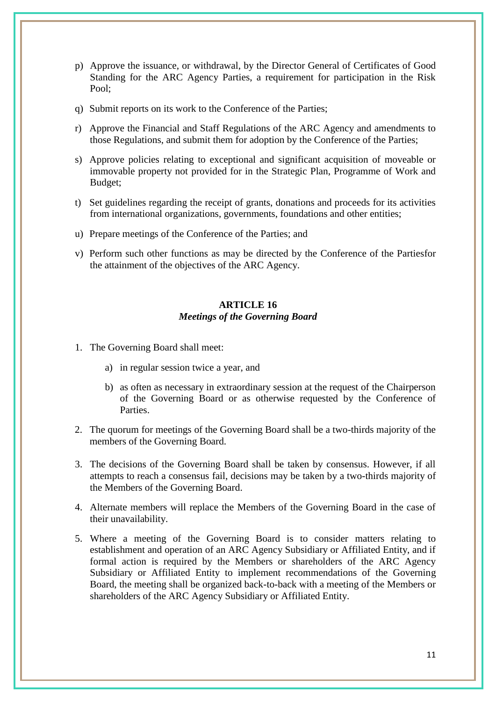- p) Approve the issuance, or withdrawal, by the Director General of Certificates of Good Standing for the ARC Agency Parties, a requirement for participation in the Risk Pool;
- q) Submit reports on its work to the Conference of the Parties;
- r) Approve the Financial and Staff Regulations of the ARC Agency and amendments to those Regulations, and submit them for adoption by the Conference of the Parties;
- s) Approve policies relating to exceptional and significant acquisition of moveable or immovable property not provided for in the Strategic Plan, Programme of Work and Budget;
- t) Set guidelines regarding the receipt of grants, donations and proceeds for its activities from international organizations, governments, foundations and other entities;
- u) Prepare meetings of the Conference of the Parties; and
- v) Perform such other functions as may be directed by the Conference of the Partiesfor the attainment of the objectives of the ARC Agency.

# **ARTICLE 16** *Meetings of the Governing Board*

- 1. The Governing Board shall meet:
	- a) in regular session twice a year, and
	- b) as often as necessary in extraordinary session at the request of the Chairperson of the Governing Board or as otherwise requested by the Conference of **Parties**
- 2. The quorum for meetings of the Governing Board shall be a two-thirds majority of the members of the Governing Board.
- 3. The decisions of the Governing Board shall be taken by consensus. However, if all attempts to reach a consensus fail, decisions may be taken by a two-thirds majority of the Members of the Governing Board.
- 4. Alternate members will replace the Members of the Governing Board in the case of their unavailability.
- 5. Where a meeting of the Governing Board is to consider matters relating to establishment and operation of an ARC Agency Subsidiary or Affiliated Entity, and if formal action is required by the Members or shareholders of the ARC Agency Subsidiary or Affiliated Entity to implement recommendations of the Governing Board, the meeting shall be organized back-to-back with a meeting of the Members or shareholders of the ARC Agency Subsidiary or Affiliated Entity.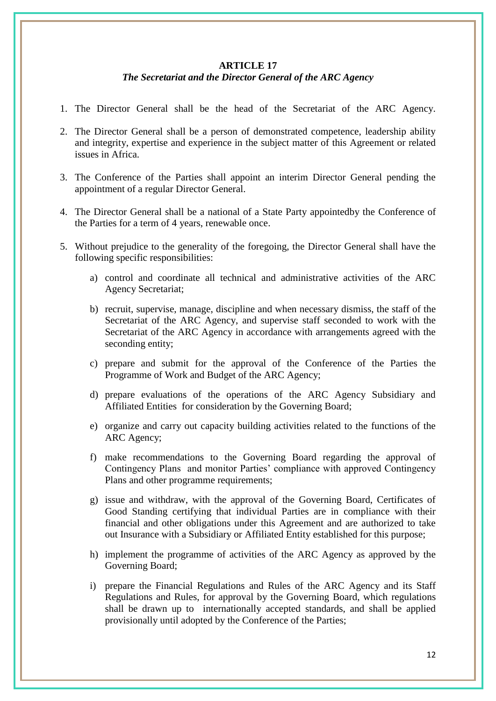#### **ARTICLE 17**

# *The Secretariat and the Director General of the ARC Agency*

- 1. The Director General shall be the head of the Secretariat of the ARC Agency.
- 2. The Director General shall be a person of demonstrated competence, leadership ability and integrity, expertise and experience in the subject matter of this Agreement or related issues in Africa.
- 3. The Conference of the Parties shall appoint an interim Director General pending the appointment of a regular Director General.
- 4. The Director General shall be a national of a State Party appointedby the Conference of the Parties for a term of 4 years, renewable once.
- 5. Without prejudice to the generality of the foregoing, the Director General shall have the following specific responsibilities:
	- a) control and coordinate all technical and administrative activities of the ARC Agency Secretariat;
	- b) recruit, supervise, manage, discipline and when necessary dismiss, the staff of the Secretariat of the ARC Agency, and supervise staff seconded to work with the Secretariat of the ARC Agency in accordance with arrangements agreed with the seconding entity;
	- c) prepare and submit for the approval of the Conference of the Parties the Programme of Work and Budget of the ARC Agency;
	- d) prepare evaluations of the operations of the ARC Agency Subsidiary and Affiliated Entities for consideration by the Governing Board;
	- e) organize and carry out capacity building activities related to the functions of the ARC Agency;
	- f) make recommendations to the Governing Board regarding the approval of Contingency Plans and monitor Parties" compliance with approved Contingency Plans and other programme requirements;
	- g) issue and withdraw, with the approval of the Governing Board, Certificates of Good Standing certifying that individual Parties are in compliance with their financial and other obligations under this Agreement and are authorized to take out Insurance with a Subsidiary or Affiliated Entity established for this purpose;
	- h) implement the programme of activities of the ARC Agency as approved by the Governing Board;
	- i) prepare the Financial Regulations and Rules of the ARC Agency and its Staff Regulations and Rules, for approval by the Governing Board, which regulations shall be drawn up to internationally accepted standards, and shall be applied provisionally until adopted by the Conference of the Parties;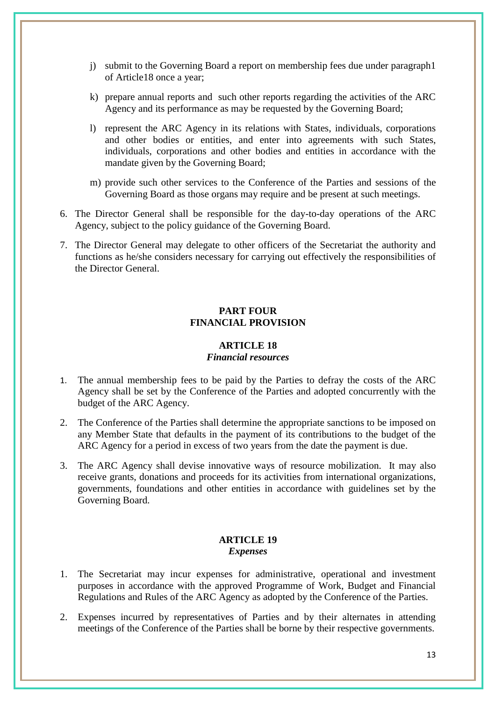- j) submit to the Governing Board a report on membership fees due under paragraph1 of Article18 once a year;
- k) prepare annual reports and such other reports regarding the activities of the ARC Agency and its performance as may be requested by the Governing Board;
- l) represent the ARC Agency in its relations with States, individuals, corporations and other bodies or entities, and enter into agreements with such States, individuals, corporations and other bodies and entities in accordance with the mandate given by the Governing Board;
- m) provide such other services to the Conference of the Parties and sessions of the Governing Board as those organs may require and be present at such meetings.
- 6. The Director General shall be responsible for the day-to-day operations of the ARC Agency, subject to the policy guidance of the Governing Board.
- 7. The Director General may delegate to other officers of the Secretariat the authority and functions as he/she considers necessary for carrying out effectively the responsibilities of the Director General.

### **PART FOUR FINANCIAL PROVISION**

#### **ARTICLE 18** *Financial resources*

- 1. The annual membership fees to be paid by the Parties to defray the costs of the ARC Agency shall be set by the Conference of the Parties and adopted concurrently with the budget of the ARC Agency.
- 2. The Conference of the Parties shall determine the appropriate sanctions to be imposed on any Member State that defaults in the payment of its contributions to the budget of the ARC Agency for a period in excess of two years from the date the payment is due.
- 3. The ARC Agency shall devise innovative ways of resource mobilization. It may also receive grants, donations and proceeds for its activities from international organizations, governments, foundations and other entities in accordance with guidelines set by the Governing Board.

#### **ARTICLE 19** *Expenses*

- 1. The Secretariat may incur expenses for administrative, operational and investment purposes in accordance with the approved Programme of Work, Budget and Financial Regulations and Rules of the ARC Agency as adopted by the Conference of the Parties.
- 2. Expenses incurred by representatives of Parties and by their alternates in attending meetings of the Conference of the Parties shall be borne by their respective governments.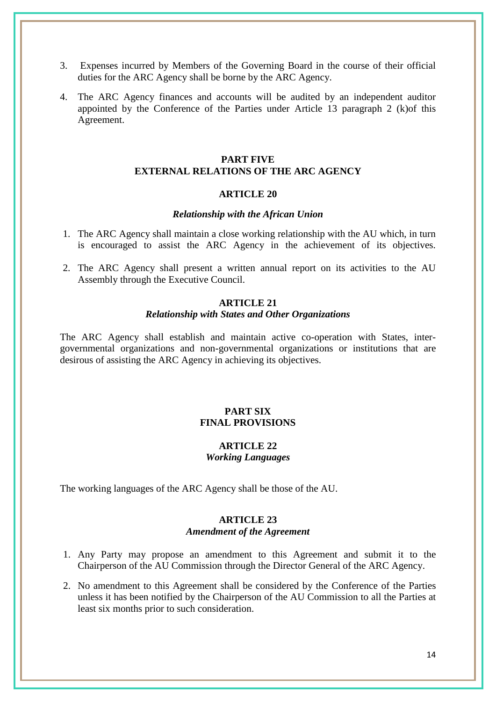- 3. Expenses incurred by Members of the Governing Board in the course of their official duties for the ARC Agency shall be borne by the ARC Agency.
- 4. The ARC Agency finances and accounts will be audited by an independent auditor appointed by the Conference of the Parties under Article 13 paragraph 2 (k)of this Agreement.

# **PART FIVE EXTERNAL RELATIONS OF THE ARC AGENCY**

#### **ARTICLE 20**

#### *Relationship with the African Union*

- 1. The ARC Agency shall maintain a close working relationship with the AU which, in turn is encouraged to assist the ARC Agency in the achievement of its objectives.
- 2. The ARC Agency shall present a written annual report on its activities to the AU Assembly through the Executive Council.

#### **ARTICLE 21**

### *Relationship with States and Other Organizations*

The ARC Agency shall establish and maintain active co-operation with States, intergovernmental organizations and non-governmental organizations or institutions that are desirous of assisting the ARC Agency in achieving its objectives.

# **PART SIX FINAL PROVISIONS**

#### **ARTICLE 22** *Working Languages*

The working languages of the ARC Agency shall be those of the AU.

### **ARTICLE 23** *Amendment of the Agreement*

- 1. Any Party may propose an amendment to this Agreement and submit it to the Chairperson of the AU Commission through the Director General of the ARC Agency.
- 2. No amendment to this Agreement shall be considered by the Conference of the Parties unless it has been notified by the Chairperson of the AU Commission to all the Parties at least six months prior to such consideration.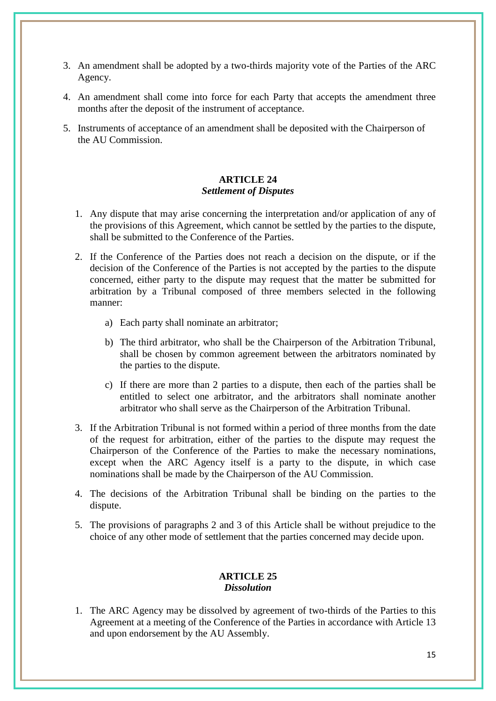- 3. An amendment shall be adopted by a two-thirds majority vote of the Parties of the ARC Agency.
- 4. An amendment shall come into force for each Party that accepts the amendment three months after the deposit of the instrument of acceptance.
- 5. Instruments of acceptance of an amendment shall be deposited with the Chairperson of the AU Commission.

# **ARTICLE 24** *Settlement of Disputes*

- 1. Any dispute that may arise concerning the interpretation and/or application of any of the provisions of this Agreement, which cannot be settled by the parties to the dispute, shall be submitted to the Conference of the Parties.
- 2. If the Conference of the Parties does not reach a decision on the dispute, or if the decision of the Conference of the Parties is not accepted by the parties to the dispute concerned, either party to the dispute may request that the matter be submitted for arbitration by a Tribunal composed of three members selected in the following manner:
	- a) Each party shall nominate an arbitrator;
	- b) The third arbitrator, who shall be the Chairperson of the Arbitration Tribunal, shall be chosen by common agreement between the arbitrators nominated by the parties to the dispute.
	- c) If there are more than 2 parties to a dispute, then each of the parties shall be entitled to select one arbitrator, and the arbitrators shall nominate another arbitrator who shall serve as the Chairperson of the Arbitration Tribunal.
- 3. If the Arbitration Tribunal is not formed within a period of three months from the date of the request for arbitration, either of the parties to the dispute may request the Chairperson of the Conference of the Parties to make the necessary nominations, except when the ARC Agency itself is a party to the dispute, in which case nominations shall be made by the Chairperson of the AU Commission.
- 4. The decisions of the Arbitration Tribunal shall be binding on the parties to the dispute.
- 5. The provisions of paragraphs 2 and 3 of this Article shall be without prejudice to the choice of any other mode of settlement that the parties concerned may decide upon.

# **ARTICLE 25** *Dissolution*

1. The ARC Agency may be dissolved by agreement of two-thirds of the Parties to this Agreement at a meeting of the Conference of the Parties in accordance with Article 13 and upon endorsement by the AU Assembly.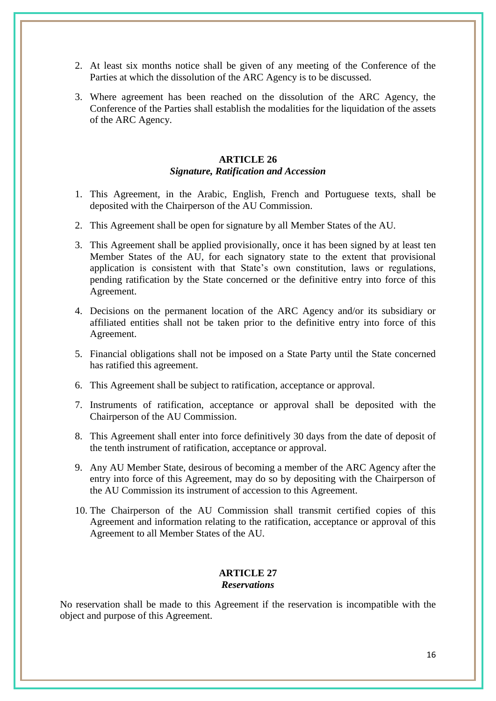- 2. At least six months notice shall be given of any meeting of the Conference of the Parties at which the dissolution of the ARC Agency is to be discussed.
- 3. Where agreement has been reached on the dissolution of the ARC Agency, the Conference of the Parties shall establish the modalities for the liquidation of the assets of the ARC Agency.

# **ARTICLE 26** *Signature, Ratification and Accession*

- 1. This Agreement, in the Arabic, English, French and Portuguese texts, shall be deposited with the Chairperson of the AU Commission.
- 2. This Agreement shall be open for signature by all Member States of the AU.
- 3. This Agreement shall be applied provisionally, once it has been signed by at least ten Member States of the AU, for each signatory state to the extent that provisional application is consistent with that State"s own constitution, laws or regulations, pending ratification by the State concerned or the definitive entry into force of this Agreement.
- 4. Decisions on the permanent location of the ARC Agency and/or its subsidiary or affiliated entities shall not be taken prior to the definitive entry into force of this Agreement.
- 5. Financial obligations shall not be imposed on a State Party until the State concerned has ratified this agreement.
- 6. This Agreement shall be subject to ratification, acceptance or approval.
- 7. Instruments of ratification, acceptance or approval shall be deposited with the Chairperson of the AU Commission.
- 8. This Agreement shall enter into force definitively 30 days from the date of deposit of the tenth instrument of ratification, acceptance or approval.
- 9. Any AU Member State, desirous of becoming a member of the ARC Agency after the entry into force of this Agreement, may do so by depositing with the Chairperson of the AU Commission its instrument of accession to this Agreement.
- 10. The Chairperson of the AU Commission shall transmit certified copies of this Agreement and information relating to the ratification, acceptance or approval of this Agreement to all Member States of the AU.

# **ARTICLE 27** *Reservations*

No reservation shall be made to this Agreement if the reservation is incompatible with the object and purpose of this Agreement.